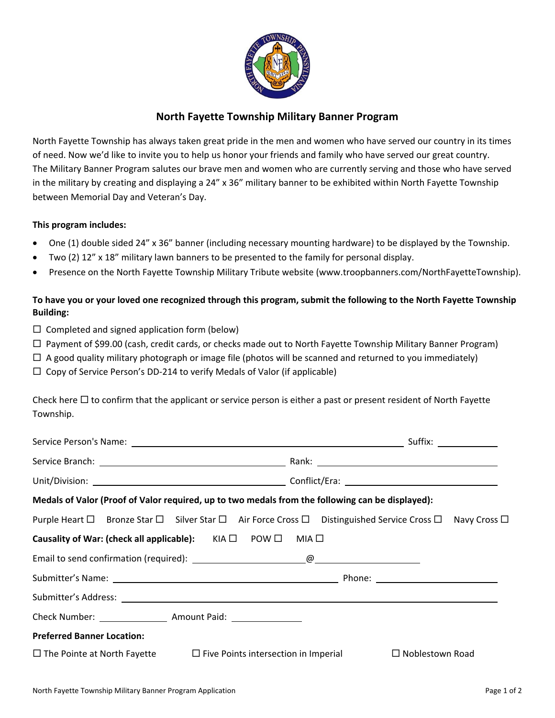

## **North Fayette Township Military Banner Program**

North Fayette Township has always taken great pride in the men and women who have served our country in its times of need. Now we'd like to invite you to help us honor your friends and family who have served our great country. The Military Banner Program salutes our brave men and women who are currently serving and those who have served in the military by creating and displaying a 24" x 36" military banner to be exhibited within North Fayette Township between Memorial Day and Veteran's Day.

#### **This program includes:**

- One (1) double sided 24" x 36" banner (including necessary mounting hardware) to be displayed by the Township.
- Two (2) 12" x 18" military lawn banners to be presented to the family for personal display.
- Presence on the North Fayette Township Military Tribute website (www.troopbanners.com/NorthFayetteTownship).

## **To have you or your loved one recognized through this program, submit the following to the North Fayette Township Building:**

- $\Box$  Completed and signed application form (below)
- $\Box$  Payment of \$99.00 (cash, credit cards, or checks made out to North Fayette Township Military Banner Program)
- $\Box$  A good quality military photograph or image file (photos will be scanned and returned to you immediately)
- $\Box$  Copy of Service Person's DD-214 to verify Medals of Valor (if applicable)

Check here  $\Box$  to confirm that the applicant or service person is either a past or present resident of North Fayette Township.

| Medals of Valor (Proof of Valor required, up to two medals from the following can be displayed):        |  |  |  |  |
|---------------------------------------------------------------------------------------------------------|--|--|--|--|
| Purple Heart □ Bronze Star □ Silver Star □ Air Force Cross □ Distinguished Service Cross □ Navy Cross □ |  |  |  |  |
| Causality of War: (check all applicable): $KIA \Box$ POW $\Box$ MIA $\Box$                              |  |  |  |  |
|                                                                                                         |  |  |  |  |
|                                                                                                         |  |  |  |  |
|                                                                                                         |  |  |  |  |
|                                                                                                         |  |  |  |  |
| <b>Preferred Banner Location:</b>                                                                       |  |  |  |  |
| $\Box$ The Pointe at North Fayette $\Box$ Five Points intersection in Imperial $\Box$ Noblestown Road   |  |  |  |  |